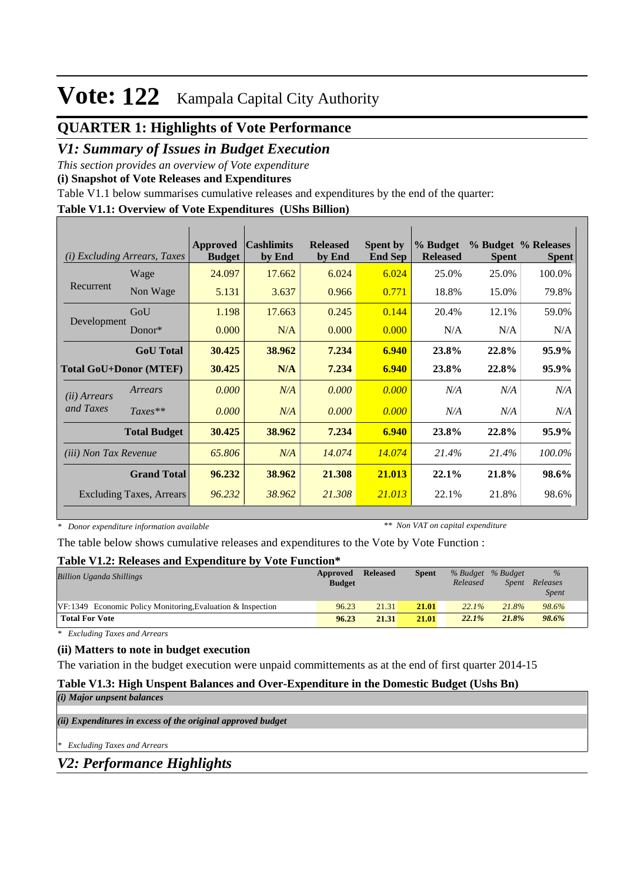## **QUARTER 1: Highlights of Vote Performance**

## *V1: Summary of Issues in Budget Execution*

*This section provides an overview of Vote expenditure* 

**(i) Snapshot of Vote Releases and Expenditures**

Table V1.1 below summarises cumulative releases and expenditures by the end of the quarter:

#### **Table V1.1: Overview of Vote Expenditures (UShs Billion)**

| (i)                           | <b>Excluding Arrears, Taxes</b> | Approved<br><b>Budget</b> | <b>Cashlimits</b><br>by End | <b>Released</b><br>by End | <b>Spent by</b><br><b>End Sep</b> | % Budget<br><b>Released</b> | <b>Spent</b> | % Budget % Releases<br><b>Spent</b> |
|-------------------------------|---------------------------------|---------------------------|-----------------------------|---------------------------|-----------------------------------|-----------------------------|--------------|-------------------------------------|
|                               | Wage                            | 24.097                    | 17.662                      | 6.024                     | 6.024                             | 25.0%                       | 25.0%        | 100.0%                              |
| Recurrent                     | Non Wage                        | 5.131                     | 3.637                       | 0.966                     | 0.771                             | 18.8%                       | 15.0%        | 79.8%                               |
|                               | GoU                             | 1.198                     | 17.663                      | 0.245                     | 0.144                             | 20.4%                       | 12.1%        | 59.0%                               |
| Development                   | Donor $*$                       | 0.000                     | N/A                         | 0.000                     | 0.000                             | N/A                         | N/A          | N/A                                 |
|                               | <b>GoU</b> Total                | 30.425                    | 38.962                      | 7.234                     | 6.940                             | 23.8%                       | 22.8%        | 95.9%                               |
| <b>Total GoU+Donor (MTEF)</b> |                                 | 30.425                    | N/A                         | 7.234                     | 6.940                             | 23.8%                       | 22.8%        | 95.9%                               |
| ( <i>ii</i> ) Arrears         | Arrears                         | 0.000                     | N/A                         | 0.000                     | 0.000                             | N/A                         | N/A          | N/A                                 |
| and Taxes                     | $Taxes**$                       | 0.000                     | N/A                         | 0.000                     | 0.000                             | N/A                         | N/A          | N/A                                 |
|                               | <b>Total Budget</b>             | 30.425                    | 38.962                      | 7.234                     | 6.940                             | 23.8%                       | 22.8%        | 95.9%                               |
| <i>(iii)</i> Non Tax Revenue  |                                 | 65.806                    | N/A                         | 14.074                    | 14.074                            | 21.4%                       | 21.4%        | 100.0%                              |
|                               | <b>Grand Total</b>              | 96.232                    | 38.962                      | 21.308                    | 21.013                            | 22.1%                       | 21.8%        | 98.6%                               |
|                               | <b>Excluding Taxes, Arrears</b> | 96.232                    | 38.962                      | 21.308                    | 21.013                            | 22.1%                       | 21.8%        | 98.6%                               |

*\* Donor expenditure information available*

*\*\* Non VAT on capital expenditure*

The table below shows cumulative releases and expenditures to the Vote by Vote Function :

#### **Table V1.2: Releases and Expenditure by Vote Function\***

| <b>Billion Uganda Shillings</b>                                | Approved<br><b>Budget</b> | <b>Released</b> | <b>Spent</b> | % Budget % Budget<br>Released | Spent | $\frac{9}{6}$<br>Releases<br><b>Spent</b> |
|----------------------------------------------------------------|---------------------------|-----------------|--------------|-------------------------------|-------|-------------------------------------------|
| $VF: 1349$ Economic Policy Monitoring, Evaluation & Inspection | 96.23                     | 21.31           | 21.01        | $22.1\%$                      | 21.8% | 98.6%                                     |
| <b>Total For Vote</b>                                          | 96.23                     | 21.31           | 21.01        | 22.1%                         | 21.8% | 98.6%                                     |

*\* Excluding Taxes and Arrears*

### **(ii) Matters to note in budget execution**

The variation in the budget execution were unpaid committements as at the end of first quarter 2014-15

### **Table V1.3: High Unspent Balances and Over-Expenditure in the Domestic Budget (Ushs Bn)**

|  |  | (i) Major unpsent balances |
|--|--|----------------------------|
|--|--|----------------------------|

*(ii) Expenditures in excess of the original approved budget*

*\* Excluding Taxes and Arrears*

*V2: Performance Highlights*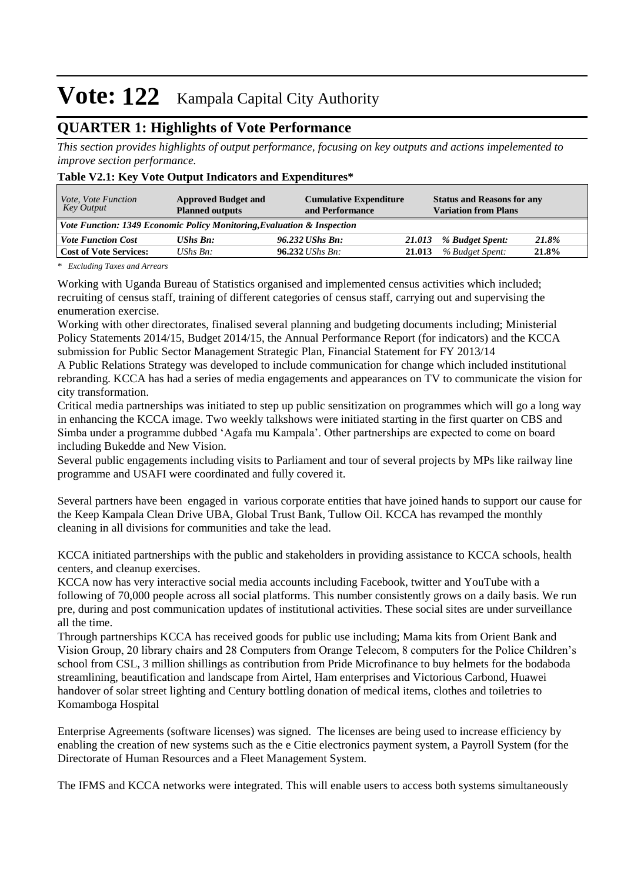## **QUARTER 1: Highlights of Vote Performance**

*This section provides highlights of output performance, focusing on key outputs and actions impelemented to improve section performance.*

#### **Table V2.1: Key Vote Output Indicators and Expenditures\***

| <i>Vote, Vote Function</i><br>Key Output | <b>Approved Budget and</b><br><b>Planned outputs</b>                    | <b>Cumulative Expenditure</b><br>and Performance |        | <b>Status and Reasons for any</b><br><b>Variation from Plans</b> |       |
|------------------------------------------|-------------------------------------------------------------------------|--------------------------------------------------|--------|------------------------------------------------------------------|-------|
|                                          | Vote Function: 1349 Economic Policy Monitoring, Evaluation & Inspection |                                                  |        |                                                                  |       |
| <b>Vote Function Cost</b>                | <b>UShs Bn:</b>                                                         | 96.232 UShs Bn:                                  | 21.013 | % Budget Spent:                                                  | 21.8% |
| <b>Cost of Vote Services:</b>            | UShs $B_n$ :                                                            | $96.232$ UShs Bn:                                | 21.013 | % Budget Spent:                                                  | 21.8% |

*\* Excluding Taxes and Arrears*

Working with Uganda Bureau of Statistics organised and implemented census activities which included; recruiting of census staff, training of different categories of census staff, carrying out and supervising the enumeration exercise.

Working with other directorates, finalised several planning and budgeting documents including; Ministerial Policy Statements 2014/15, Budget 2014/15, the Annual Performance Report (for indicators) and the KCCA submission for Public Sector Management Strategic Plan, Financial Statement for FY 2013/14

A Public Relations Strategy was developed to include communication for change which included institutional rebranding. KCCA has had a series of media engagements and appearances on TV to communicate the vision for city transformation.

Critical media partnerships was initiated to step up public sensitization on programmes which will go a long way in enhancing the KCCA image. Two weekly talkshows were initiated starting in the first quarter on CBS and Simba under a programme dubbed 'Agafa mu Kampala'. Other partnerships are expected to come on board including Bukedde and New Vision.

Several public engagements including visits to Parliament and tour of several projects by MPs like railway line programme and USAFI were coordinated and fully covered it.

Several partners have been engaged in various corporate entities that have joined hands to support our cause for the Keep Kampala Clean Drive UBA, Global Trust Bank, Tullow Oil. KCCA has revamped the monthly cleaning in all divisions for communities and take the lead.

KCCA initiated partnerships with the public and stakeholders in providing assistance to KCCA schools, health centers, and cleanup exercises.

KCCA now has very interactive social media accounts including Facebook, twitter and YouTube with a following of 70,000 people across all social platforms. This number consistently grows on a daily basis. We run pre, during and post communication updates of institutional activities. These social sites are under surveillance all the time.

Through partnerships KCCA has received goods for public use including; Mama kits from Orient Bank and Vision Group, 20 library chairs and 28 Computers from Orange Telecom, 8 computers for the Police Children's school from CSL, 3 million shillings as contribution from Pride Microfinance to buy helmets for the bodaboda streamlining, beautification and landscape from Airtel, Ham enterprises and Victorious Carbond, Huawei handover of solar street lighting and Century bottling donation of medical items, clothes and toiletries to Komamboga Hospital

Enterprise Agreements (software licenses) was signed. The licenses are being used to increase efficiency by enabling the creation of new systems such as the e Citie electronics payment system, a Payroll System (for the Directorate of Human Resources and a Fleet Management System.

The IFMS and KCCA networks were integrated. This will enable users to access both systems simultaneously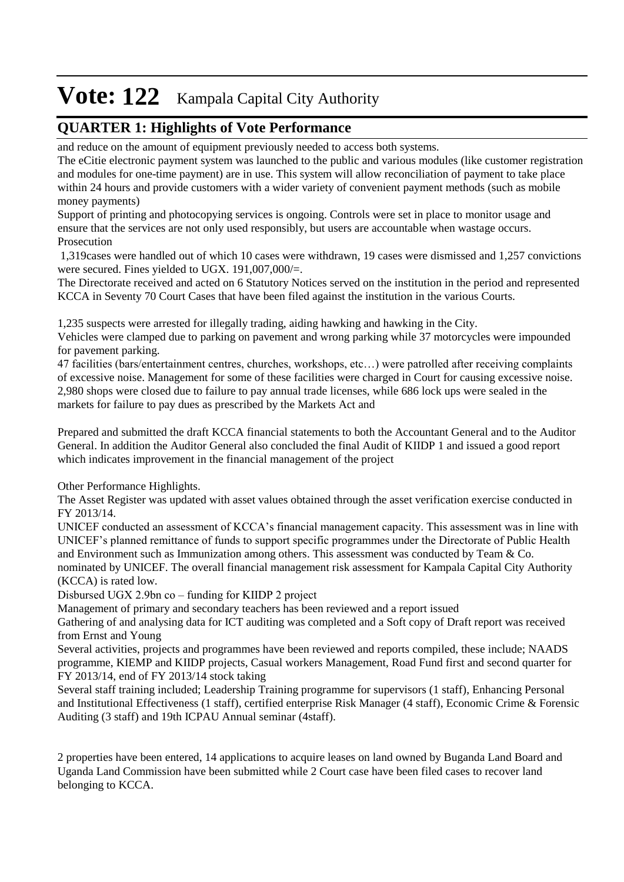## **QUARTER 1: Highlights of Vote Performance**

and reduce on the amount of equipment previously needed to access both systems.

The eCitie electronic payment system was launched to the public and various modules (like customer registration and modules for one-time payment) are in use. This system will allow reconciliation of payment to take place within 24 hours and provide customers with a wider variety of convenient payment methods (such as mobile money payments)

Support of printing and photocopying services is ongoing. Controls were set in place to monitor usage and ensure that the services are not only used responsibly, but users are accountable when wastage occurs. Prosecution

 1,319cases were handled out of which 10 cases were withdrawn, 19 cases were dismissed and 1,257 convictions were secured. Fines yielded to UGX. 191,007,000/=.

The Directorate received and acted on 6 Statutory Notices served on the institution in the period and represented KCCA in Seventy 70 Court Cases that have been filed against the institution in the various Courts.

1,235 suspects were arrested for illegally trading, aiding hawking and hawking in the City.

Vehicles were clamped due to parking on pavement and wrong parking while 37 motorcycles were impounded for pavement parking.

47 facilities (bars/entertainment centres, churches, workshops, etc…) were patrolled after receiving complaints of excessive noise. Management for some of these facilities were charged in Court for causing excessive noise. 2,980 shops were closed due to failure to pay annual trade licenses, while 686 lock ups were sealed in the markets for failure to pay dues as prescribed by the Markets Act and

Prepared and submitted the draft KCCA financial statements to both the Accountant General and to the Auditor General. In addition the Auditor General also concluded the final Audit of KIIDP 1 and issued a good report which indicates improvement in the financial management of the project

Other Performance Highlights.

The Asset Register was updated with asset values obtained through the asset verification exercise conducted in FY 2013/14.

UNICEF conducted an assessment of KCCA's financial management capacity. This assessment was in line with UNICEF's planned remittance of funds to support specific programmes under the Directorate of Public Health and Environment such as Immunization among others. This assessment was conducted by Team & Co. nominated by UNICEF. The overall financial management risk assessment for Kampala Capital City Authority

(KCCA) is rated low.

Disbursed UGX 2.9bn co – funding for KIIDP 2 project

Management of primary and secondary teachers has been reviewed and a report issued

Gathering of and analysing data for ICT auditing was completed and a Soft copy of Draft report was received from Ernst and Young

Several activities, projects and programmes have been reviewed and reports compiled, these include; NAADS programme, KIEMP and KIIDP projects, Casual workers Management, Road Fund first and second quarter for FY 2013/14, end of FY 2013/14 stock taking

Several staff training included; Leadership Training programme for supervisors (1 staff), Enhancing Personal and Institutional Effectiveness (1 staff), certified enterprise Risk Manager (4 staff), Economic Crime & Forensic Auditing (3 staff) and 19th ICPAU Annual seminar (4staff).

2 properties have been entered, 14 applications to acquire leases on land owned by Buganda Land Board and Uganda Land Commission have been submitted while 2 Court case have been filed cases to recover land belonging to KCCA.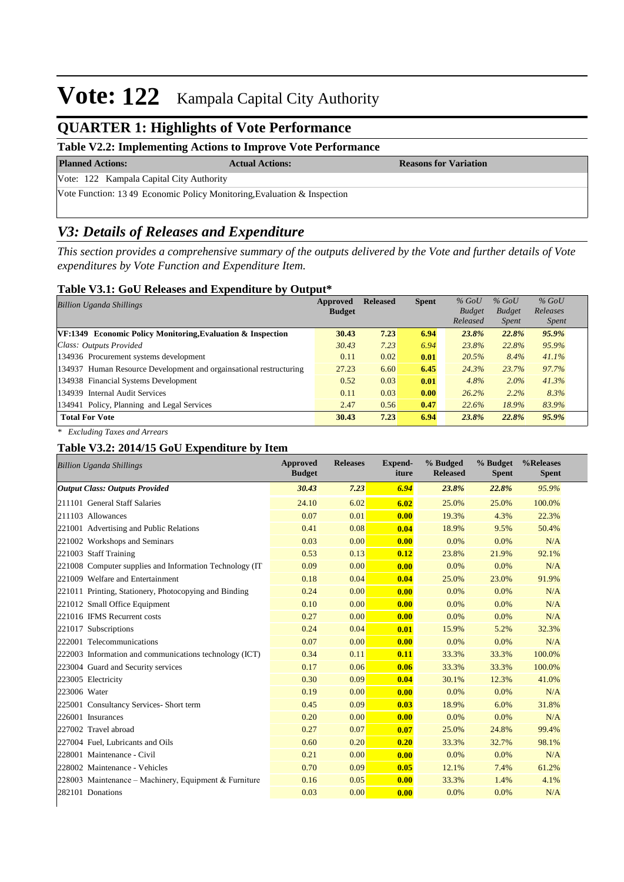## **QUARTER 1: Highlights of Vote Performance**

### **Table V2.2: Implementing Actions to Improve Vote Performance**

**Planned Actions: Actual Actions: Reasons for Variation**

Vote: 122 Kampala Capital City Authority

Vote Function: 13 49 Economic Policy Monitoring,Evaluation & Inspection

## *V3: Details of Releases and Expenditure*

*This section provides a comprehensive summary of the outputs delivered by the Vote and further details of Vote expenditures by Vote Function and Expenditure Item.*

#### **Table V3.1: GoU Releases and Expenditure by Output\***

| <b>Billion Uganda Shillings</b>                                    | Approved      | <b>Released</b> | <b>Spent</b> | $%$ GoU       | $%$ GoU       | $%$ GoU      |  |
|--------------------------------------------------------------------|---------------|-----------------|--------------|---------------|---------------|--------------|--|
|                                                                    | <b>Budget</b> |                 |              | <b>Budget</b> | <b>Budget</b> | Releases     |  |
|                                                                    |               |                 |              | Released      | <i>Spent</i>  | <i>Spent</i> |  |
| $VF:1349$ Economic Policy Monitoring, Evaluation & Inspection      | 30.43         | 7.23            | 6.94         | 23.8%         | 22.8%         | 95.9%        |  |
| Class: Outputs Provided                                            | 30.43         | 7.23            | 6.94         | 23.8%         | 22.8%         | 95.9%        |  |
| 134936 Procurement systems development                             | 0.11          | 0.02            | 0.01         | 20.5%         | 8.4%          | 41.1%        |  |
| 134937 Human Resource Development and orgainsational restructuring | 27.23         | 6.60            | 6.45         | 24.3%         | 23.7%         | 97.7%        |  |
| 134938 Financial Systems Development                               | 0.52          | 0.03            | 0.01         | 4.8%          | $2.0\%$       | 41.3%        |  |
| 134939 Internal Audit Services                                     | 0.11          | 0.03            | 0.00         | 26.2%         | 2.2%          | 8.3%         |  |
| 134941 Policy, Planning and Legal Services                         | 2.47          | 0.56            | 0.47         | 22.6%         | 18.9%         | 83.9%        |  |
| <b>Total For Vote</b>                                              | 30.43         | 7.23            | 6.94         | 23.8%         | 22.8%         | 95.9%        |  |

*\* Excluding Taxes and Arrears*

### **Table V3.2: 2014/15 GoU Expenditure by Item**

|              | <b>Billion Uganda Shillings</b>                          | <b>Approved</b><br><b>Budget</b> | <b>Releases</b> | <b>Expend-</b><br>iture | % Budged<br><b>Released</b> | % Budget<br><b>Spent</b> | %Releases<br><b>Spent</b> |
|--------------|----------------------------------------------------------|----------------------------------|-----------------|-------------------------|-----------------------------|--------------------------|---------------------------|
|              | <b>Output Class: Outputs Provided</b>                    | 30.43                            | 7.23            | 6.94                    | 23.8%                       | 22.8%                    | 95.9%                     |
|              | 211101 General Staff Salaries                            | 24.10                            | 6.02            | 6.02                    | 25.0%                       | 25.0%                    | 100.0%                    |
|              | 211103 Allowances                                        | 0.07                             | 0.01            | 0.00                    | 19.3%                       | 4.3%                     | 22.3%                     |
|              | 221001 Advertising and Public Relations                  | 0.41                             | 0.08            | 0.04                    | 18.9%                       | 9.5%                     | 50.4%                     |
|              | 221002 Workshops and Seminars                            | 0.03                             | 0.00            | 0.00                    | 0.0%                        | 0.0%                     | N/A                       |
|              | 221003 Staff Training                                    | 0.53                             | 0.13            | 0.12                    | 23.8%                       | 21.9%                    | 92.1%                     |
|              | 221008 Computer supplies and Information Technology (IT) | 0.09                             | 0.00            | 0.00                    | 0.0%                        | 0.0%                     | N/A                       |
|              | 221009 Welfare and Entertainment                         | 0.18                             | 0.04            | 0.04                    | 25.0%                       | 23.0%                    | 91.9%                     |
|              | 221011 Printing, Stationery, Photocopying and Binding    | 0.24                             | 0.00            | 0.00                    | 0.0%                        | 0.0%                     | N/A                       |
|              | 221012 Small Office Equipment                            | 0.10                             | 0.00            | 0.00                    | 0.0%                        | 0.0%                     | N/A                       |
|              | 221016 IFMS Recurrent costs                              | 0.27                             | 0.00            | 0.00                    | 0.0%                        | 0.0%                     | N/A                       |
|              | 221017 Subscriptions                                     | 0.24                             | 0.04            | 0.01                    | 15.9%                       | 5.2%                     | 32.3%                     |
|              | 222001 Telecommunications                                | 0.07                             | 0.00            | 0.00                    | 0.0%                        | 0.0%                     | N/A                       |
|              | 222003 Information and communications technology (ICT)   | 0.34                             | 0.11            | 0.11                    | 33.3%                       | 33.3%                    | 100.0%                    |
|              | 223004 Guard and Security services                       | 0.17                             | 0.06            | 0.06                    | 33.3%                       | 33.3%                    | 100.0%                    |
|              | 223005 Electricity                                       | 0.30                             | 0.09            | 0.04                    | 30.1%                       | 12.3%                    | 41.0%                     |
| 223006 Water |                                                          | 0.19                             | 0.00            | 0.00                    | 0.0%                        | 0.0%                     | N/A                       |
|              | 225001 Consultancy Services- Short term                  | 0.45                             | 0.09            | 0.03                    | 18.9%                       | 6.0%                     | 31.8%                     |
|              | 226001 Insurances                                        | 0.20                             | 0.00            | 0.00                    | 0.0%                        | 0.0%                     | N/A                       |
|              | 227002 Travel abroad                                     | 0.27                             | 0.07            | 0.07                    | 25.0%                       | 24.8%                    | 99.4%                     |
|              | 227004 Fuel, Lubricants and Oils                         | 0.60                             | 0.20            | 0.20                    | 33.3%                       | 32.7%                    | 98.1%                     |
|              | 228001 Maintenance - Civil                               | 0.21                             | 0.00            | 0.00                    | 0.0%                        | 0.0%                     | N/A                       |
|              | 228002 Maintenance - Vehicles                            | 0.70                             | 0.09            | 0.05                    | 12.1%                       | 7.4%                     | 61.2%                     |
|              | 228003 Maintenance - Machinery, Equipment & Furniture    | 0.16                             | 0.05            | 0.00                    | 33.3%                       | 1.4%                     | 4.1%                      |
|              | 282101 Donations                                         | 0.03                             | 0.00            | 0.00                    | 0.0%                        | 0.0%                     | N/A                       |